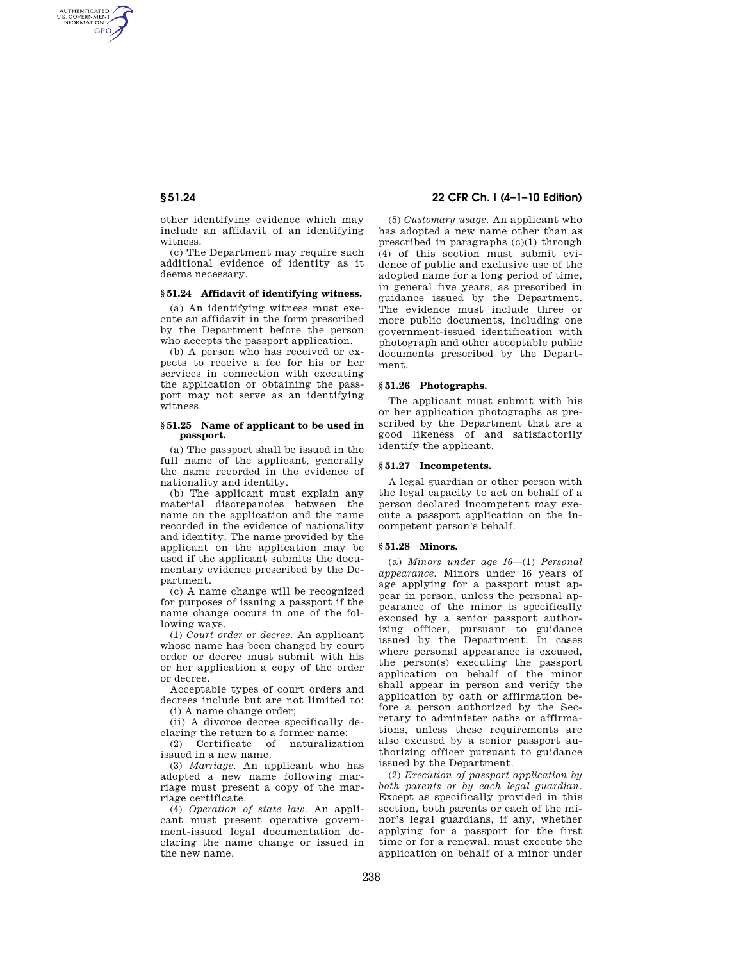AUTHENTICATED<br>U.S. GOVERNMENT<br>INFORMATION GPO

> other identifying evidence which may include an affidavit of an identifying witness.

> (c) The Department may require such additional evidence of identity as it deems necessary.

### **§ 51.24 Affidavit of identifying witness.**

(a) An identifying witness must execute an affidavit in the form prescribed by the Department before the person who accepts the passport application.

(b) A person who has received or expects to receive a fee for his or her services in connection with executing the application or obtaining the passport may not serve as an identifying witness.

#### **§ 51.25 Name of applicant to be used in passport.**

(a) The passport shall be issued in the full name of the applicant, generally the name recorded in the evidence of nationality and identity.

(b) The applicant must explain any material discrepancies between the name on the application and the name recorded in the evidence of nationality and identity. The name provided by the applicant on the application may be used if the applicant submits the documentary evidence prescribed by the Department.

(c) A name change will be recognized for purposes of issuing a passport if the name change occurs in one of the following ways.

(1) *Court order or decree.* An applicant whose name has been changed by court order or decree must submit with his or her application a copy of the order or decree.

Acceptable types of court orders and decrees include but are not limited to:

(i) A name change order;

(ii) A divorce decree specifically declaring the return to a former name;

(2) Certificate of naturalization issued in a new name.

(3) *Marriage.* An applicant who has adopted a new name following marriage must present a copy of the marriage certificate.

(4) *Operation of state law.* An applicant must present operative government-issued legal documentation declaring the name change or issued in the new name.

# **§ 51.24 22 CFR Ch. I (4–1–10 Edition)**

(5) *Customary usage.* An applicant who has adopted a new name other than as prescribed in paragraphs (c)(1) through (4) of this section must submit evidence of public and exclusive use of the adopted name for a long period of time, in general five years, as prescribed in guidance issued by the Department. The evidence must include three or more public documents, including one government-issued identification with photograph and other acceptable public documents prescribed by the Department.

### **§ 51.26 Photographs.**

The applicant must submit with his or her application photographs as prescribed by the Department that are a good likeness of and satisfactorily identify the applicant.

### **§ 51.27 Incompetents.**

A legal guardian or other person with the legal capacity to act on behalf of a person declared incompetent may execute a passport application on the incompetent person's behalf.

#### **§ 51.28 Minors.**

(a) *Minors under age 16*—(1) *Personal appearance.* Minors under 16 years of age applying for a passport must appear in person, unless the personal appearance of the minor is specifically excused by a senior passport authorizing officer, pursuant to guidance issued by the Department. In cases where personal appearance is excused, the person(s) executing the passport application on behalf of the minor shall appear in person and verify the application by oath or affirmation before a person authorized by the Secretary to administer oaths or affirmations, unless these requirements are also excused by a senior passport authorizing officer pursuant to guidance issued by the Department.

(2) *Execution of passport application by both parents or by each legal guardian.*  Except as specifically provided in this section, both parents or each of the minor's legal guardians, if any, whether applying for a passport for the first time or for a renewal, must execute the application on behalf of a minor under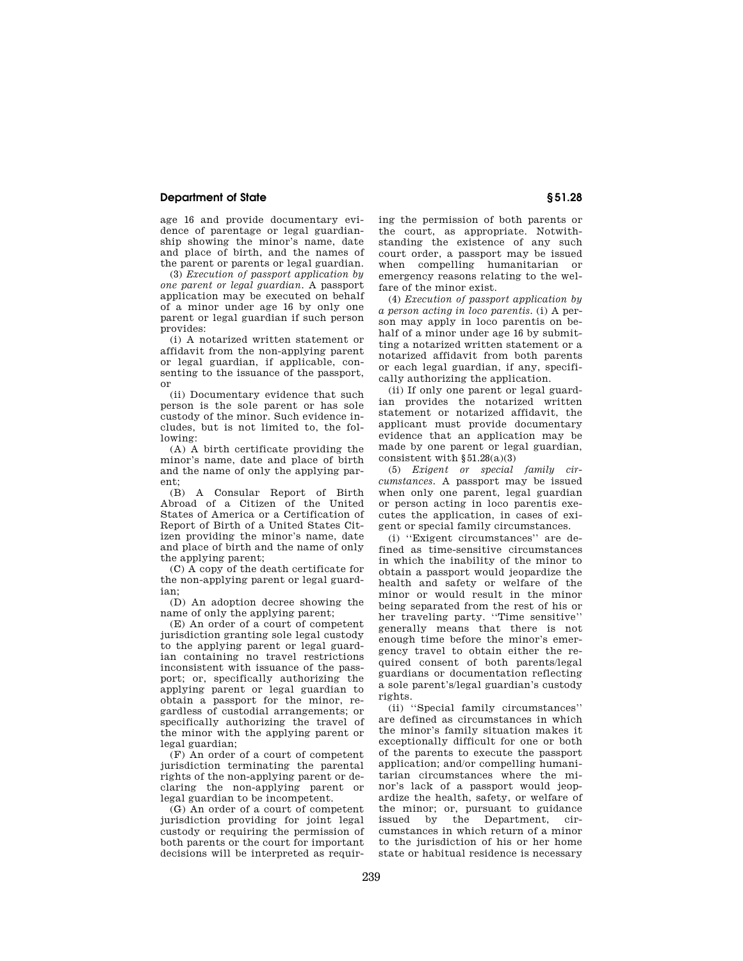## **Department of State § 51.28**

age 16 and provide documentary evidence of parentage or legal guardianship showing the minor's name, date and place of birth, and the names of the parent or parents or legal guardian.

(3) *Execution of passport application by one parent or legal guardian.* A passport application may be executed on behalf of a minor under age 16 by only one parent or legal guardian if such person provides:

(i) A notarized written statement or affidavit from the non-applying parent or legal guardian, if applicable, consenting to the issuance of the passport, or

(ii) Documentary evidence that such person is the sole parent or has sole custody of the minor. Such evidence includes, but is not limited to, the following:

(A) A birth certificate providing the minor's name, date and place of birth and the name of only the applying parent;

(B) A Consular Report of Birth Abroad of a Citizen of the United States of America or a Certification of Report of Birth of a United States Citizen providing the minor's name, date and place of birth and the name of only the applying parent;

(C) A copy of the death certificate for the non-applying parent or legal guardian;

(D) An adoption decree showing the name of only the applying parent;

(E) An order of a court of competent jurisdiction granting sole legal custody to the applying parent or legal guardian containing no travel restrictions inconsistent with issuance of the passport; or, specifically authorizing the applying parent or legal guardian to obtain a passport for the minor, regardless of custodial arrangements; or specifically authorizing the travel of the minor with the applying parent or legal guardian;

(F) An order of a court of competent jurisdiction terminating the parental rights of the non-applying parent or declaring the non-applying parent or legal guardian to be incompetent.

(G) An order of a court of competent jurisdiction providing for joint legal custody or requiring the permission of both parents or the court for important decisions will be interpreted as requiring the permission of both parents or the court, as appropriate. Notwithstanding the existence of any such court order, a passport may be issued when compelling humanitarian or emergency reasons relating to the welfare of the minor exist.

(4) *Execution of passport application by a person acting in loco parentis.* (i) A person may apply in loco parentis on behalf of a minor under age 16 by submitting a notarized written statement or a notarized affidavit from both parents or each legal guardian, if any, specifically authorizing the application.

(ii) If only one parent or legal guardian provides the notarized written statement or notarized affidavit, the applicant must provide documentary evidence that an application may be made by one parent or legal guardian, consistent with  $§51.28(a)(3)$ 

(5) *Exigent or special family circumstances.* A passport may be issued when only one parent, legal guardian or person acting in loco parentis executes the application, in cases of exigent or special family circumstances.

(i) ''Exigent circumstances'' are defined as time-sensitive circumstances in which the inability of the minor to obtain a passport would jeopardize the health and safety or welfare of the minor or would result in the minor being separated from the rest of his or her traveling party. ''Time sensitive'' generally means that there is not enough time before the minor's emergency travel to obtain either the required consent of both parents/legal guardians or documentation reflecting a sole parent's/legal guardian's custody rights.

(ii) ''Special family circumstances'' are defined as circumstances in which the minor's family situation makes it exceptionally difficult for one or both of the parents to execute the passport application; and/or compelling humanitarian circumstances where the minor's lack of a passport would jeopardize the health, safety, or welfare of the minor; or, pursuant to guidance issued by the Department, circumstances in which return of a minor to the jurisdiction of his or her home state or habitual residence is necessary